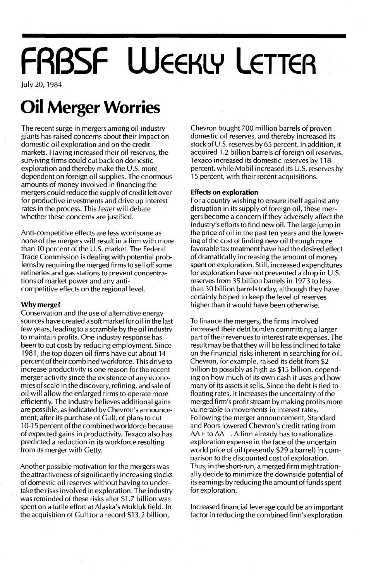# **FRBSF WEEKLY LETTER**

July 20, 1984

### **Oil Merger Worries**

The recent surge in mergers among oil industry giants has raised concerns about their impact on domestic oil exploration and on the credit markets. Having increased their oil reserves, the surviving firms could cut back on domestic exploration and thereby make the U.S. more dependent on foreign oil supplies. The enormous amounts of money involved in financing the mergers could reduce the supply of credit left over for productive investments and drive up interest rates in the process. This Letter will debate whether these concerns are justified.

Anti-competitive effects are less worrisome as none of the mergers will result in a firm with more than 10 percent of the U.S. market. The Federal Trade Commission is dealing with potential problems by requiring the merged firms to sell off some refineries and gas stations to prevent concentrations of market power and any anticompetitive effects on the regional level.

#### Why merge?

Conservation and the use of alternative energy sources have created a soft market for oil in the last few years, leading to a scramble by the oil industry to maintain profits. One industry response has been to cut costs by reducing employment. Since 1981, the top dozen oil firms have cut about 14 percent of their combined workforce. This drive to increase productivity is one reason for the recent merger activity since the existence of any economiesof scale in the discovery, refining, and sale of oil will allow the enlarged firms to operate more efficiently. The industry believes additional gains are possible, as indicated by Chevron's announcement, after its purchase of Gulf, of plans to cut 10-15 percent of the combined workforce because of expected gains in productivity. Texaco also has predicted a reduction in its workforce resulting from its merger with Getty.

Another possible motivation for the mergers was the attractiveness of significantly increasing stocks of domestic oil reserves without having to undertake the risks involved in exploration. The industry was reminded of these risks after \$1.7 billion was spent on a futile effort at Alaska's Mukluk field. In the acquisition of Gulf for a record \$13.2 billion,

Chevron bought 700 million barrels of proven domestic oil reserves, and thereby increased its stock of U.S. reserves by 65 percent. In addition, it acquired 1.2 billion barrels of foreign oil reserves. Texaco increased its domestic reserves by 118 percent, while Mobil increased its U.S. reserves by 15 percent, with their recent acquisitions.

#### **Effects on exploration**

For a country wishing to ensure itself against any disruption in its supply of foreign oil, these mergers become a concern if they adversely affect the industry's efforts to find new oil. The large jump in the price of oil in the past ten years and the lowering of the cost of finding new oil through more favorable tax treatment have had the desired effect of dramatically increasing the amount of money spenton exploration. Still, increased expenditures for exploration have not prevented a drop in U.S. reserves from 35 billion barrels in 1973 to less than 30 billion barrels today, although they have certainly helped to keep the level of reserves higher than it would have been otherwise.

To finance the mergers, the firms involved increased their debt burden committing a larger part of their revenues to interest rate expenses. The result may be thatthey will be less inclined to take on the financial risks inherent in searching for oil. Chevron, for example, raised its debt from \$2 billion to possibly as high as \$15 billion, depending on how much of its own cash it uses and how many of its assets it sells. Since the debt is tied to floating rates, it increases the uncertainty of the merged firm's profit stream by making profits more vulnerable to movements in interest rates. Following the merger announcement, Standard and Poors lowered Chevron's credit rating from AA+ to AA-. A firm already has to rationalize exploration expense in the face of the uncertain world price of oil (presently \$29 a barrel) in comparison to the discounted cost of exploration. Thus, in the short-run, a merged firm might rationally decide to minimize the downside potential of its earnings by reducing the amount of funds spent for exploration.

Increased financial leverage could be an important factor in reducing the combined firm's exploration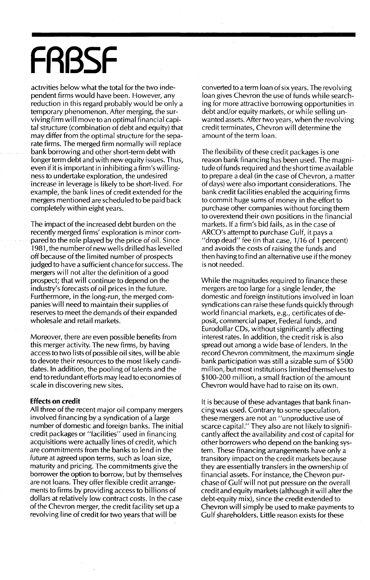## **FRBSF**

activities below what the total for the two independent firms would have been. However, any reduction in this regard probably would be only a temporary phenomenon. After merging, the survivingfirm will move to an optimal financial capital structure (combination of debt and equity) that may differ from the optimal structure for the separate firms. The merged firm normally will replace bank borrowing and other short-term debt with longer term debt and with new equity issues. Thus, even ifit is important in inhibiting afirm's willingness to undertake exploration, the undesired increase in leverage is likely to be short-lived. For example, the bank lines of credit extended for the mergers mentioned are schedu led to be paid back completely within eight years.

The impact of the increased debt burden on the recently merged firms' exploration is minor compared to the role played by the price of oil. Since 1981, the number of new wells drilled has levelled off because of the limited number of prospects judged to have a sufficient chance for success. The mergers will not alter the definition of a good prospect; that will continue to depend on the industry's forecasts of oil prices in the future. Furthermore, in the long-run, the merged companies'will need to maintain their supplies of reserves to meet the demands of their expanded wholesale and retail markets.

Moreover, there are even possible benefits from this merger activity. The new firms, by having access to two lists of possible oil sites, will be able to devote their resources to the most Iikely candidates. In addition, the pooling of talents and the end to redundant efforts may lead to economies of scale in discovering new sites.

#### **Effects on credit**

All three of the recent major oil company mergers involved financing by a syndication of a large number of domestic and foreign banks. The initial credit packages or "facilities" used in financing acquisitions were actually lines of credit, which are commitments from the banks to lend in the future at agreed upon terms, such as loan size, maturity and pricing. The commitments give the borrower the option to borrow, but by themselves are not loans. They offer flexible credit arrangements to firms by providing access to billions of dollars at relatively low contract costs. In the case of the Chevron merger, the credit facility set up a revolving line of credit for two years that will be

converted to a term loan of six years. The revolving loan gives Chevron the use of funds while searching for more attractive borrowing opportunities in debt and/or equity markets, or while selling unwanted assets. After two years, when the revolving credit terminates, Chevron will determine the amount of the term loan.

The flexibility of these credit packages is one reason bank financing has been used. The magnitude offunds required and the short time available to prepare a deal (in the case of Chevron, a matter of days) were also important considerations. The bank credit facilities enabled the acquiring firms to commit huge sums of money in the effort to purchase other companies without forcing them to overextend their own positions in the financial markets. If a firm's bid fails, as in the case of ARCO's attempt to purchase Gulf, it pays a "drop dead" fee (in that case, 1/16 of 1 percent) and avoids the costs of raising the funds and then having to find an alternative use if the money is not needed.

While the magnitudes required to finance these mergers are too large for a single lender, the domestic and foreign institutions involved in loan syndications can raise these funds quickly through world financial markets, e.g., certificates of deposit, commercial paper, Federal funds, and Eurodollar CDs, without significantly affecting interest rates. In addition, the credit risk is also spread out among a wide base of lenders. In the record Chevron commitment, the maximum single bank participation was still a sizable sum of \$500 million, but most institutions limited themselves to \$100-200 million, a small fraction of the amount Chevron would have had to raise on its own.

It is because of these advantages that bank financing was used. Contrary to some speculation, these mergers are not an "unproductive use of scarce capital." They also are not likely to significantly affect the availability and cost of capital for other borrowers who depend on the banking system. These financing arrangements have only a transitory impact on the credit markets because they are essentially transfers in the ownership of financial assets. For instance, the Chevron purchase of Gulf will not put pressure on the overall credit and equity markets (although it will alter the debt-equity mix), since the credit extended to Chevron will simply be used to make payments to Gulf shareholders. Little reason exists for these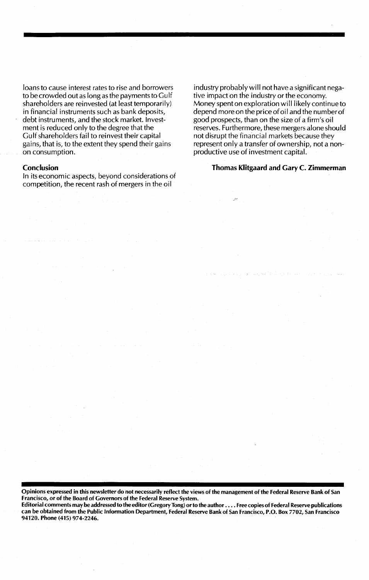loans to cause interest rates to rise and borrowers to be crowded out as long as the payments to GuIf shareholders are reinvested (at least temporarily) in financial instruments such as bank deposits, debt instruments, and the stock market. Investment is reduced only to the degree that the Gulf shareholders fail to reinvest their capital gains, that is, to the extent they spend their gains on consumption.

#### **Conclusion**

In its economic aspects, beyond considerations of competition, the recent rash of mergers in the oil

industry probably will not have a significant negative impact on the industry or the economy. Money spent on exploration will likely continue to depend more on the price of oil and the number of good prospects, than on the size of a firm's oil reserves. Furthermore, these mergers alone should not disrupt the financial markets because they represent only a transfer of ownership, not a nonproductive use of investment capital.

#### Thomas Klitgaard and Gary C. Zimmerman

Opinions expressed in this newsletter do not necessarily reflect the views of the management of the Federal Reserve Bank of San Francisco, or of the Board of Governors of the Federal Reserve System.

Editorial comments may be addressed to the editor (Gregory Tong) orto the author .... Free copies of Federal Reserve publications can be obtained from the Public Information Department, Federal Reserve Bank of San Francisco, P.O. Box 7702, San Francisco 94120. Phone (415) 974-2246.